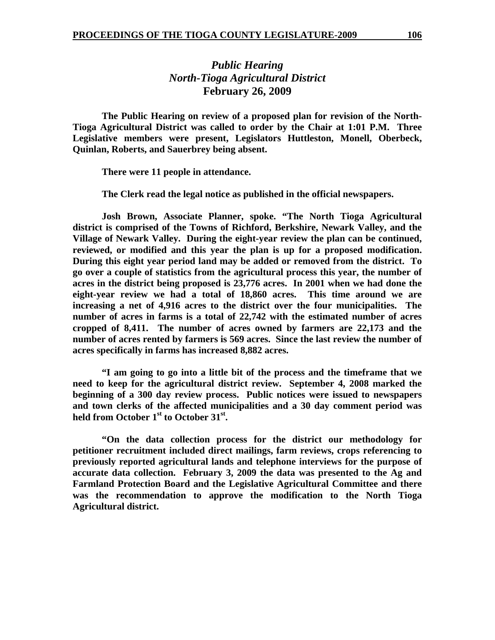## *Public Hearing North-Tioga Agricultural District*  **February 26, 2009**

 **The Public Hearing on review of a proposed plan for revision of the North-Tioga Agricultural District was called to order by the Chair at 1:01 P.M. Three Legislative members were present, Legislators Huttleston, Monell, Oberbeck, Quinlan, Roberts, and Sauerbrey being absent.** 

 **There were 11 people in attendance.** 

 **The Clerk read the legal notice as published in the official newspapers.** 

**Josh Brown, Associate Planner, spoke. "The North Tioga Agricultural district is comprised of the Towns of Richford, Berkshire, Newark Valley, and the Village of Newark Valley. During the eight-year review the plan can be continued, reviewed, or modified and this year the plan is up for a proposed modification. During this eight year period land may be added or removed from the district. To go over a couple of statistics from the agricultural process this year, the number of acres in the district being proposed is 23,776 acres. In 2001 when we had done the eight-year review we had a total of 18,860 acres. This time around we are increasing a net of 4,916 acres to the district over the four municipalities. The number of acres in farms is a total of 22,742 with the estimated number of acres cropped of 8,411. The number of acres owned by farmers are 22,173 and the number of acres rented by farmers is 569 acres. Since the last review the number of acres specifically in farms has increased 8,882 acres.** 

**"I am going to go into a little bit of the process and the timeframe that we need to keep for the agricultural district review. September 4, 2008 marked the beginning of a 300 day review process. Public notices were issued to newspapers and town clerks of the affected municipalities and a 30 day comment period was**  held from October 1<sup>st</sup> to October 31<sup>st</sup>.

**"On the data collection process for the district our methodology for petitioner recruitment included direct mailings, farm reviews, crops referencing to previously reported agricultural lands and telephone interviews for the purpose of accurate data collection. February 3, 2009 the data was presented to the Ag and Farmland Protection Board and the Legislative Agricultural Committee and there was the recommendation to approve the modification to the North Tioga Agricultural district.**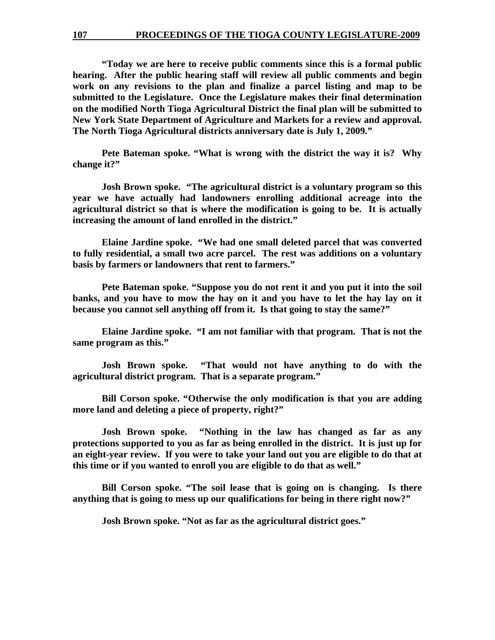**"Today we are here to receive public comments since this is a formal public hearing. After the public hearing staff will review all public comments and begin work on any revisions to the plan and finalize a parcel listing and map to be submitted to the Legislature. Once the Legislature makes their final determination on the modified North Tioga Agricultural District the final plan will be submitted to New York State Department of Agriculture and Markets for a review and approval. The North Tioga Agricultural districts anniversary date is July 1, 2009."** 

**Pete Bateman spoke. "What is wrong with the district the way it is? Why change it?"** 

**Josh Brown spoke. "The agricultural district is a voluntary program so this year we have actually had landowners enrolling additional acreage into the agricultural district so that is where the modification is going to be. It is actually increasing the amount of land enrolled in the district."** 

**Elaine Jardine spoke. "We had one small deleted parcel that was converted to fully residential, a small two acre parcel. The rest was additions on a voluntary basis by farmers or landowners that rent to farmers."** 

**Pete Bateman spoke. "Suppose you do not rent it and you put it into the soil banks, and you have to mow the hay on it and you have to let the hay lay on it because you cannot sell anything off from it. Is that going to stay the same?"** 

**Elaine Jardine spoke. "I am not familiar with that program. That is not the same program as this."** 

**Josh Brown spoke. "That would not have anything to do with the agricultural district program. That is a separate program."** 

**Bill Corson spoke. "Otherwise the only modification is that you are adding more land and deleting a piece of property, right?"** 

**Josh Brown spoke. "Nothing in the law has changed as far as any protections supported to you as far as being enrolled in the district. It is just up for an eight-year review. If you were to take your land out you are eligible to do that at this time or if you wanted to enroll you are eligible to do that as well."** 

**Bill Corson spoke. "The soil lease that is going on is changing. Is there anything that is going to mess up our qualifications for being in there right now?"** 

**Josh Brown spoke. "Not as far as the agricultural district goes."**